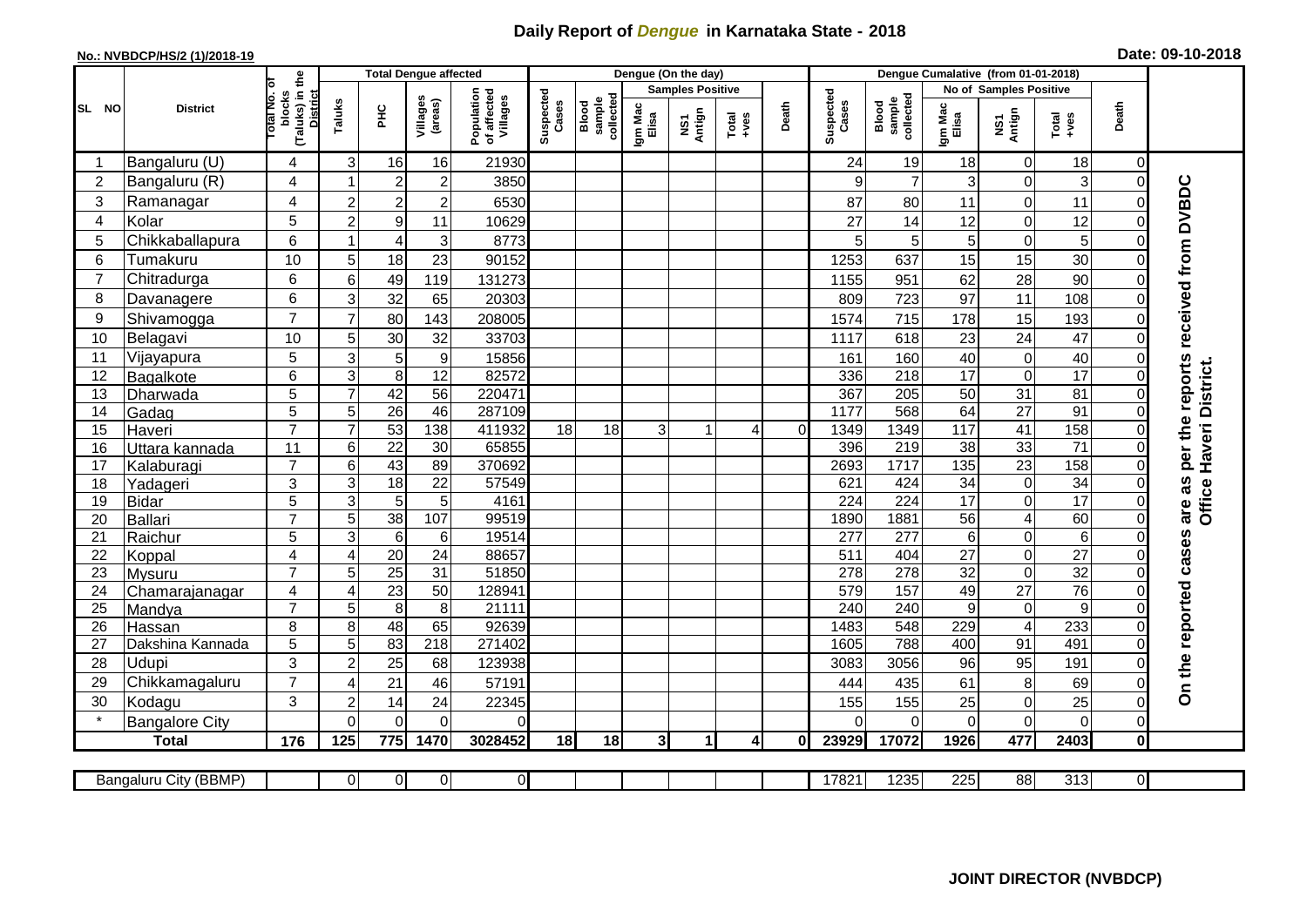## **Daily Report of** *Dengue* **in Karnataka State - 2018**

## **No.: NVBDCP/HS/2 (1)/2018-19 Date: 09-10-2018**

|                                                                                                                                                    | <b>District</b>          |                                                      | <b>Total Dengue affected</b> |                       |                       |                                       |                    |                              |                         | Dengue (On the day) |                  |                |                        |                              |                       |                             |                       |                         |                                     |
|----------------------------------------------------------------------------------------------------------------------------------------------------|--------------------------|------------------------------------------------------|------------------------------|-----------------------|-----------------------|---------------------------------------|--------------------|------------------------------|-------------------------|---------------------|------------------|----------------|------------------------|------------------------------|-----------------------|-----------------------------|-----------------------|-------------------------|-------------------------------------|
|                                                                                                                                                    |                          |                                                      |                              |                       |                       |                                       |                    |                              | <b>Samples Positive</b> |                     |                  |                | No of Samples Positive |                              |                       |                             |                       |                         |                                     |
| SL NO                                                                                                                                              |                          | (Taluks) in the<br>District<br>otal No. ol<br>blocks | Taluks                       | Ξ                     | Villages<br>(areas)   | Population<br>of affected<br>Villages | Suspected<br>Cases | Blood<br>sample<br>collected | Igm Mac<br>Elisa        | NS1<br>Antign       | $Tota$<br>$+ves$ | Death          | Suspected<br>Cases     | collected<br>sample<br>Blood | Igm Mac<br>Elisa      | NS1<br>Antign               | $Tota$<br>$+ves$      | Death                   |                                     |
|                                                                                                                                                    | Bangaluru (U)            | $\overline{4}$                                       | 3                            | 16                    | 16                    | 21930                                 |                    |                              |                         |                     |                  |                | 24                     | 19                           | 18                    | $\mathbf 0$                 | 18                    | 0                       |                                     |
| $\overline{2}$                                                                                                                                     | Bangaluru (R)            | 4                                                    |                              | $\overline{c}$        | $\overline{c}$        | 3850                                  |                    |                              |                         |                     |                  |                | 9                      | $\overline{7}$               | 3                     | $\mathbf 0$                 | 3                     | $\Omega$                |                                     |
| 3                                                                                                                                                  | Ramanagar                | 4                                                    | $\overline{c}$               | $\overline{2}$        | $\mathbf 2$           | 6530                                  |                    |                              |                         |                     |                  |                | 87                     | 80                           | 11                    | $\mathsf{O}\xspace$         | 11                    | 0                       | per the reports received from DVBDC |
| 4                                                                                                                                                  | Kolar                    | 5                                                    | $\overline{a}$               | $\boldsymbol{9}$      | 11                    | 10629                                 |                    |                              |                         |                     |                  |                | 27                     | 14                           | 12                    | $\pmb{0}$                   | 12                    | $\mathbf 0$             |                                     |
| 5                                                                                                                                                  | Chikkaballapura          | 6                                                    | 1                            | 4                     | $\sqrt{3}$            | 8773                                  |                    |                              |                         |                     |                  |                | 5                      | 5                            | $\overline{5}$        | $\pmb{0}$                   | 5                     | 0                       |                                     |
| 6                                                                                                                                                  | Tumakuru                 | 10                                                   | 5                            | 18                    | 23                    | 90152                                 |                    |                              |                         |                     |                  |                | 1253                   | 637                          | 15                    | 15                          | 30                    | $\mathbf 0$             |                                     |
| $\overline{7}$                                                                                                                                     | Chitradurga              | 6                                                    | 6                            | 49                    | 119                   | 131273                                |                    |                              |                         |                     |                  |                | 1155                   | 951                          | 62                    | 28                          | 90                    | $\mathbf 0$             |                                     |
| 8                                                                                                                                                  | Davanagere               | 6                                                    | 3                            | 32                    | 65                    | 20303                                 |                    |                              |                         |                     |                  |                | 809                    | 723                          | 97                    | 11                          | 108                   | 0                       |                                     |
| 9                                                                                                                                                  | Shivamogga               | $\overline{7}$                                       | $\overline{7}$               | 80                    | 143                   | 208005                                |                    |                              |                         |                     |                  |                | 1574                   | 715                          | 178                   | 15                          | 193                   | 0                       |                                     |
| 10                                                                                                                                                 | Belagavi                 | 10                                                   | 5                            | 30                    | 32                    | 33703                                 |                    |                              |                         |                     |                  |                | 1117                   | 618                          | 23                    | 24                          | 47                    | $\overline{0}$          |                                     |
| 11                                                                                                                                                 | Vijayapura               | 5                                                    | 3                            | 5                     | $\boldsymbol{9}$      | 15856                                 |                    |                              |                         |                     |                  |                | 161                    | 160                          | 40                    | $\pmb{0}$                   | 40                    | 0                       |                                     |
| 12                                                                                                                                                 | Bagalkote                | 6                                                    | ω                            | $\overline{8}$        | $\overline{12}$       | 82572                                 |                    |                              |                         |                     |                  |                | 336                    | $\overline{218}$             | 17                    | $\overline{0}$              | 17                    | $\mathbf 0$             | Haveri District.                    |
| 13                                                                                                                                                 | Dharwada                 | 5                                                    | $\overline{7}$               | 42                    | $\overline{56}$       | 220471                                |                    |                              |                         |                     |                  |                | 367                    | $\overline{205}$             | 50                    | 31                          | 81                    | $\mathbf 0$             |                                     |
| 14                                                                                                                                                 | Gadag                    | $\overline{5}$                                       | 5                            | $\overline{26}$       | 46                    | 287109                                |                    |                              |                         |                     |                  |                | 1177                   | 568                          | 64                    | 27                          | $\overline{91}$       | $\mathsf{O}\xspace$     |                                     |
| 15                                                                                                                                                 | Haveri                   | $\overline{7}$                                       | $\overline{7}$               | 53                    | 138                   | 411932                                | 18                 | 18                           | зI                      | 1                   | $\overline{4}$   | $\overline{0}$ | 1349                   | 1349                         | $\frac{117}{117}$     | 41                          | 158                   | $\mathbf 0$             |                                     |
| 16                                                                                                                                                 | Uttara kannada           | 11                                                   | 6                            | $\overline{22}$       | 30                    | 65855                                 |                    |                              |                         |                     |                  |                | 396                    | $\overline{219}$             | $\overline{38}$       | 33                          | $\overline{71}$       | 0                       |                                     |
| 17                                                                                                                                                 | Kalaburagi               | $\overline{7}$                                       | $\overline{6}$               | 43                    | 89                    | 370692                                |                    |                              |                         |                     |                  |                | 2693                   | 1717                         | $\frac{1}{135}$       | 23                          | 158                   | $\mathbf 0$             |                                     |
| 18                                                                                                                                                 | Yadageri                 | 3                                                    | 3                            | 18                    | 22                    | 57549                                 |                    |                              |                         |                     |                  |                | 621                    | 424                          | 34                    | $\pmb{0}$                   | 34                    | 0                       |                                     |
| 19                                                                                                                                                 | <b>Bidar</b>             | 5                                                    | $\mathbf{3}$                 | $\overline{5}$        | 5                     | 4161                                  |                    |                              |                         |                     |                  |                | 224                    | 224                          | 17                    | $\mathbf 0$                 | $\overline{17}$       | $\Omega$                | are as<br>Office                    |
| 20                                                                                                                                                 | Ballari                  | $\overline{7}$                                       | 5                            | 38                    | 107                   | 99519                                 |                    |                              |                         |                     |                  |                | 1890                   | 1881                         | 56                    | $\overline{4}$              | 60                    | $\mathbf 0$             |                                     |
| 21                                                                                                                                                 | Raichur                  | 5                                                    | $\overline{3}$               | $\overline{6}$        | 6                     | 19514<br>88657                        |                    |                              |                         |                     |                  |                | $\overline{277}$       | 277                          | $6\phantom{1}$        | $\overline{\mathsf{o}}$     | $\overline{6}$        | $\overline{\mathsf{o}}$ |                                     |
| 22<br>23                                                                                                                                           | Koppal                   | $\overline{4}$<br>$\overline{7}$                     | 4<br>5                       | 20<br>$\overline{25}$ | 24<br>$\overline{31}$ | 51850                                 |                    |                              |                         |                     |                  |                | 511<br>278             | 404<br>278                   | 27<br>$\overline{32}$ | $\pmb{0}$<br>$\overline{0}$ | 27<br>$\overline{32}$ | 0<br>$\mathbf 0$        |                                     |
| 24                                                                                                                                                 | Mysuru<br>Chamarajanagar | $\overline{4}$                                       | 4                            | $\overline{23}$       | $\overline{50}$       | 128941                                |                    |                              |                         |                     |                  |                | 579                    | 157                          | 49                    | $\overline{27}$             | 76                    | $\mathbf 0$             |                                     |
| $\overline{25}$                                                                                                                                    | Mandya                   | $\overline{7}$                                       | 5                            | $\overline{8}$        | 8                     | 21111                                 |                    |                              |                         |                     |                  |                | 240                    | 240                          | $\overline{9}$        | $\mathbf 0$                 | $\overline{9}$        | $\overline{0}$          |                                     |
| 26                                                                                                                                                 | Hassan                   | 8                                                    | 8                            | 48                    | 65                    | 92639                                 |                    |                              |                         |                     |                  |                | 1483                   | 548                          | 229                   | $\overline{\mathbf{4}}$     | 233                   | 0                       |                                     |
| 27                                                                                                                                                 | Dakshina Kannada         | 5                                                    | 5                            | 83                    | $\overline{218}$      | 271402                                |                    |                              |                         |                     |                  |                | 1605                   | 788                          | 400                   | 91                          | 491                   | $\mathbf 0$             |                                     |
| 28                                                                                                                                                 | Udupi                    | 3                                                    | $\overline{c}$               | $\overline{25}$       | 68                    | 123938                                |                    |                              |                         |                     |                  |                | 3083                   | 3056                         | 96                    | 95                          | 191                   | $\overline{0}$          |                                     |
| 29                                                                                                                                                 | Chikkamagaluru           | $\overline{7}$                                       | $\overline{4}$               | 21                    | 46                    | 57191                                 |                    |                              |                         |                     |                  |                | 444                    | 435                          | 61                    | $\,8\,$                     | 69                    | $\Omega$                | On the reported cases               |
| 30                                                                                                                                                 | Kodagu                   | 3                                                    | $\mathbf 2$                  | 14                    | 24                    | 22345                                 |                    |                              |                         |                     |                  |                | 155                    | 155                          | 25                    | $\pmb{0}$                   | 25                    | $\mathbf 0$             |                                     |
|                                                                                                                                                    | <b>Bangalore City</b>    |                                                      | $\overline{0}$               | $\overline{0}$        | $\overline{0}$        | $\Omega$                              |                    |                              |                         |                     |                  |                | $\Omega$               | $\Omega$                     | $\Omega$              | $\mathbf 0$                 | $\overline{0}$        | $\mathbf 0$             |                                     |
|                                                                                                                                                    | <b>Total</b>             | 176                                                  | 125                          | 775                   | 1470                  | 3028452                               | 18                 | 18                           | 3                       | 1                   | 4                | 0I             | 23929                  | 17072                        | 1926                  | 477                         | 2403                  | $\mathbf 0$             |                                     |
|                                                                                                                                                    |                          |                                                      |                              |                       |                       |                                       |                    |                              |                         |                     |                  |                |                        |                              |                       |                             |                       |                         |                                     |
| $\overline{0}$<br> 0 <br>$\overline{0}$<br>$\overline{0}$<br>17821<br>1235<br>225<br>88<br>313<br>$\overline{\mathsf{d}}$<br>Bangaluru City (BBMP) |                          |                                                      |                              |                       |                       |                                       |                    |                              |                         |                     |                  |                |                        |                              |                       |                             |                       |                         |                                     |